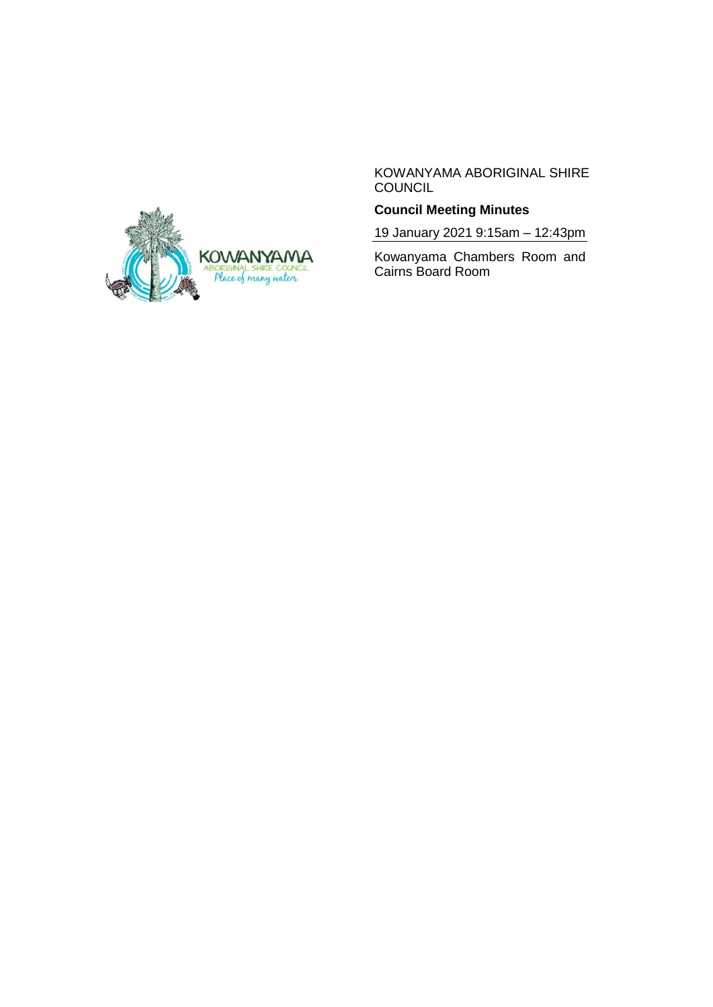

KOWANYAMA ABORIGINAL SHIRE COUNCIL

# **Council Meeting Minutes**

19 January 2021 9:15am – 12:43pm

Kowanyama Chambers Room and Cairns Board Room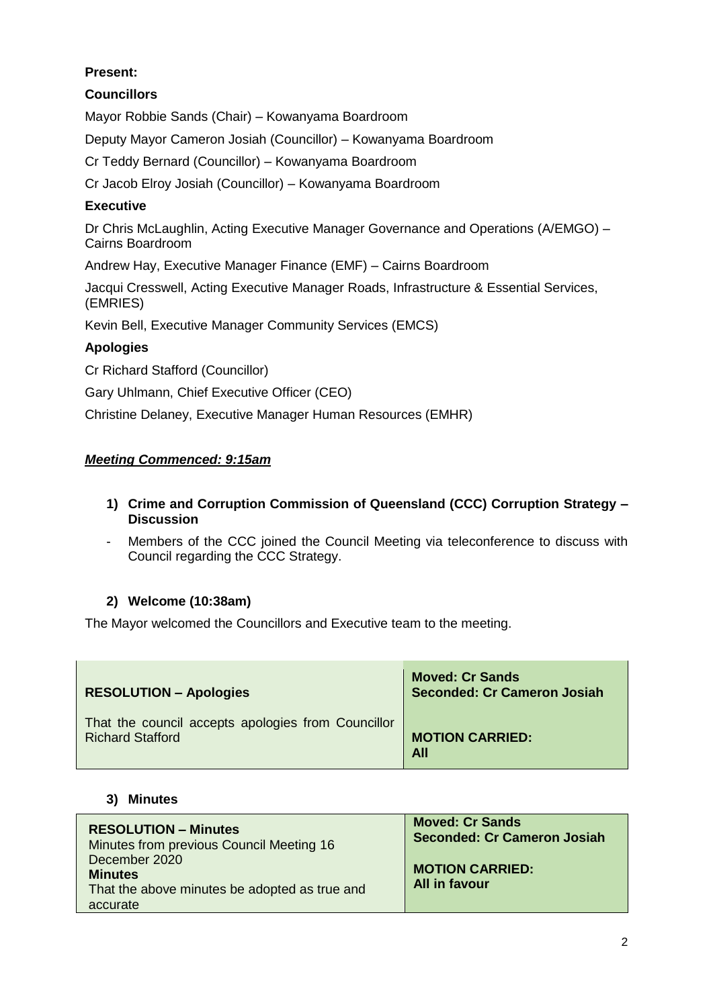# **Present:**

# **Councillors**

Mayor Robbie Sands (Chair) – Kowanyama Boardroom

Deputy Mayor Cameron Josiah (Councillor) – Kowanyama Boardroom

Cr Teddy Bernard (Councillor) – Kowanyama Boardroom

Cr Jacob Elroy Josiah (Councillor) – Kowanyama Boardroom

## **Executive**

Dr Chris McLaughlin, Acting Executive Manager Governance and Operations (A/EMGO) – Cairns Boardroom

Andrew Hay, Executive Manager Finance (EMF) – Cairns Boardroom

Jacqui Cresswell, Acting Executive Manager Roads, Infrastructure & Essential Services, (EMRIES)

Kevin Bell, Executive Manager Community Services (EMCS)

# **Apologies**

Cr Richard Stafford (Councillor)

Gary Uhlmann, Chief Executive Officer (CEO)

Christine Delaney, Executive Manager Human Resources (EMHR)

## *Meeting Commenced: 9:15am*

## **1) Crime and Corruption Commission of Queensland (CCC) Corruption Strategy – Discussion**

- Members of the CCC joined the Council Meeting via teleconference to discuss with Council regarding the CCC Strategy.

# **2) Welcome (10:38am)**

The Mayor welcomed the Councillors and Executive team to the meeting.

| <b>RESOLUTION - Apologies</b>                      | <b>Moved: Cr Sands</b><br><b>Seconded: Cr Cameron Josiah</b> |
|----------------------------------------------------|--------------------------------------------------------------|
| That the council accepts apologies from Councillor | <b>MOTION CARRIED:</b>                                       |
| <b>Richard Stafford</b>                            | <b>All</b>                                                   |

#### **3) Minutes**

| <b>RESOLUTION - Minutes</b>                                                                  | <b>Moved: Cr Sands</b>                         |
|----------------------------------------------------------------------------------------------|------------------------------------------------|
| Minutes from previous Council Meeting 16                                                     | <b>Seconded: Cr Cameron Josiah</b>             |
| December 2020<br><b>Minutes</b><br>That the above minutes be adopted as true and<br>accurate | <b>MOTION CARRIED:</b><br><b>All in favour</b> |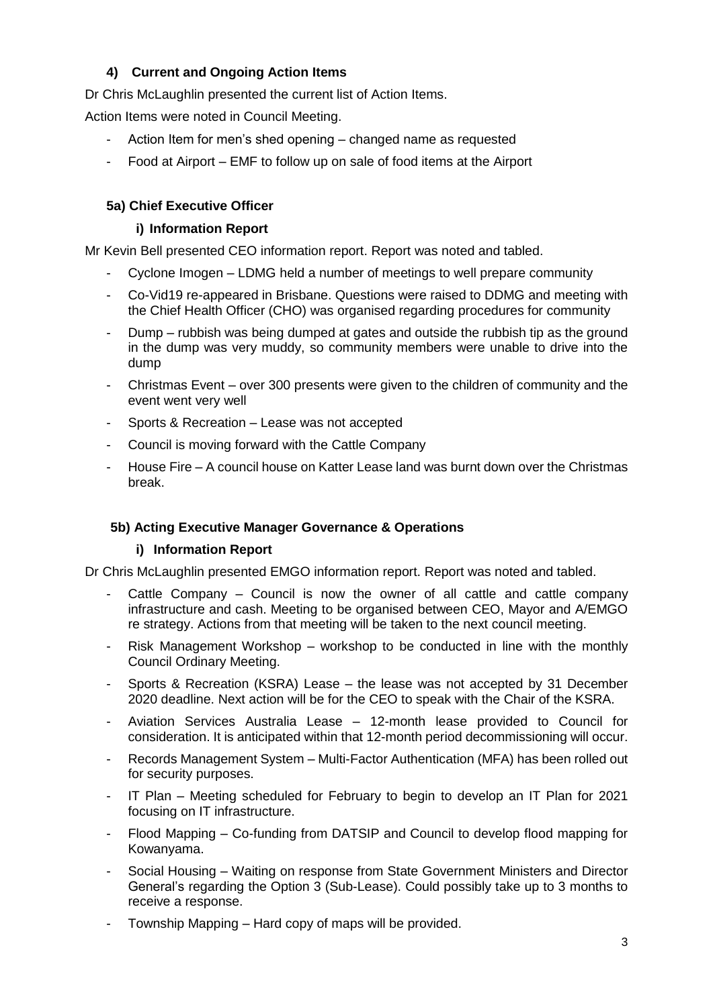# **4) Current and Ongoing Action Items**

Dr Chris McLaughlin presented the current list of Action Items.

Action Items were noted in Council Meeting.

- Action Item for men's shed opening changed name as requested
- Food at Airport EMF to follow up on sale of food items at the Airport

# **5a) Chief Executive Officer**

#### **i) Information Report**

Mr Kevin Bell presented CEO information report. Report was noted and tabled.

- Cyclone Imogen LDMG held a number of meetings to well prepare community
- Co-Vid19 re-appeared in Brisbane. Questions were raised to DDMG and meeting with the Chief Health Officer (CHO) was organised regarding procedures for community
- Dump rubbish was being dumped at gates and outside the rubbish tip as the ground in the dump was very muddy, so community members were unable to drive into the dump
- Christmas Event over 300 presents were given to the children of community and the event went very well
- Sports & Recreation Lease was not accepted
- Council is moving forward with the Cattle Company
- House Fire A council house on Katter Lease land was burnt down over the Christmas break.

#### **5b) Acting Executive Manager Governance & Operations**

#### **i) Information Report**

Dr Chris McLaughlin presented EMGO information report. Report was noted and tabled.

- Cattle Company Council is now the owner of all cattle and cattle company infrastructure and cash. Meeting to be organised between CEO, Mayor and A/EMGO re strategy. Actions from that meeting will be taken to the next council meeting.
- Risk Management Workshop workshop to be conducted in line with the monthly Council Ordinary Meeting.
- Sports & Recreation (KSRA) Lease the lease was not accepted by 31 December 2020 deadline. Next action will be for the CEO to speak with the Chair of the KSRA.
- Aviation Services Australia Lease 12-month lease provided to Council for consideration. It is anticipated within that 12-month period decommissioning will occur.
- Records Management System Multi-Factor Authentication (MFA) has been rolled out for security purposes.
- IT Plan Meeting scheduled for February to begin to develop an IT Plan for 2021 focusing on IT infrastructure.
- Flood Mapping Co-funding from DATSIP and Council to develop flood mapping for Kowanyama.
- Social Housing Waiting on response from State Government Ministers and Director General's regarding the Option 3 (Sub-Lease). Could possibly take up to 3 months to receive a response.
- Township Mapping Hard copy of maps will be provided.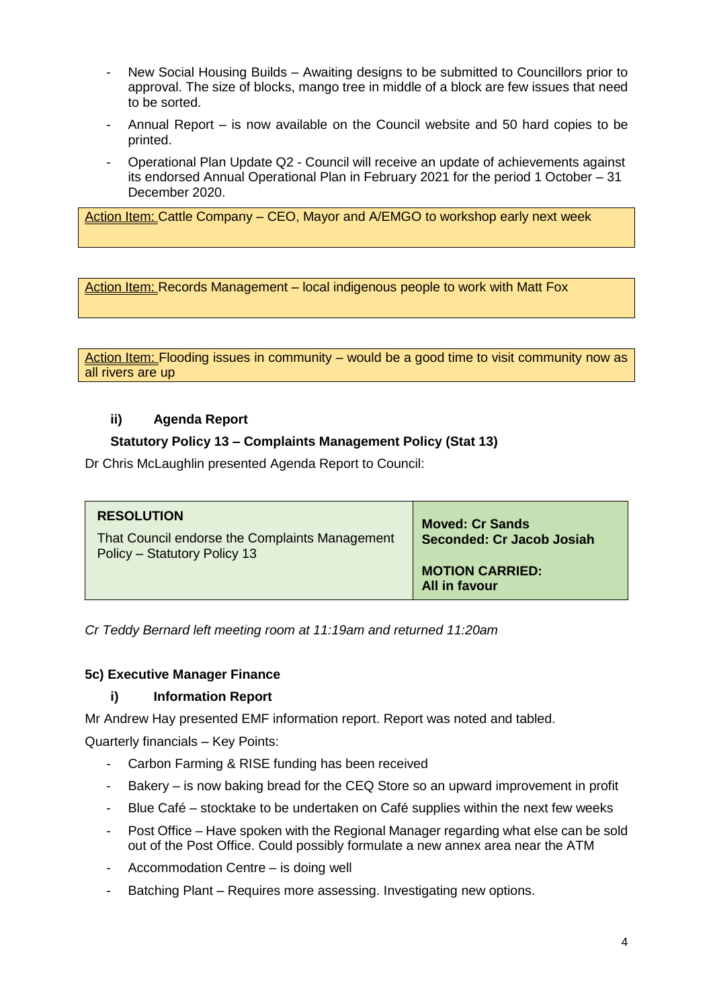- New Social Housing Builds Awaiting designs to be submitted to Councillors prior to approval. The size of blocks, mango tree in middle of a block are few issues that need to be sorted.
- Annual Report is now available on the Council website and 50 hard copies to be printed.
- Operational Plan Update Q2 Council will receive an update of achievements against its endorsed Annual Operational Plan in February 2021 for the period 1 October – 31 December 2020.

Action Item: Cattle Company – CEO, Mayor and A/EMGO to workshop early next week

Action Item: Records Management – local indigenous people to work with Matt Fox

Action Item: Flooding issues in community – would be a good time to visit community now as all rivers are up

# **ii) Agenda Report**

## **Statutory Policy 13 – Complaints Management Policy (Stat 13)**

Dr Chris McLaughlin presented Agenda Report to Council:

| <b>RESOLUTION</b><br>That Council endorse the Complaints Management<br>Policy - Statutory Policy 13 | <b>Moved: Cr Sands</b><br>Seconded: Cr Jacob Josiah |
|-----------------------------------------------------------------------------------------------------|-----------------------------------------------------|
|                                                                                                     | <b>MOTION CARRIED:</b><br><b>All in favour</b>      |

*Cr Teddy Bernard left meeting room at 11:19am and returned 11:20am*

#### **5c) Executive Manager Finance**

# **i) Information Report**

Mr Andrew Hay presented EMF information report. Report was noted and tabled.

Quarterly financials – Key Points:

- Carbon Farming & RISE funding has been received
- Bakery is now baking bread for the CEQ Store so an upward improvement in profit
- Blue Café stocktake to be undertaken on Café supplies within the next few weeks
- Post Office Have spoken with the Regional Manager regarding what else can be sold out of the Post Office. Could possibly formulate a new annex area near the ATM
- Accommodation Centre is doing well
- Batching Plant Requires more assessing. Investigating new options.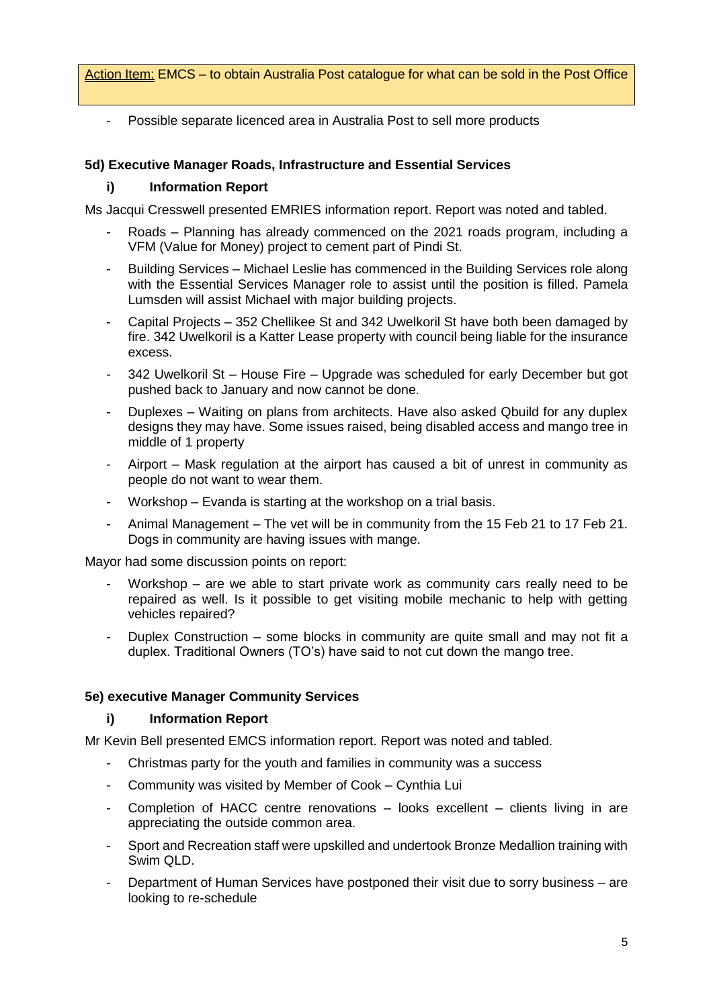Action Item: EMCS – to obtain Australia Post catalogue for what can be sold in the Post Office

- Possible separate licenced area in Australia Post to sell more products

## **5d) Executive Manager Roads, Infrastructure and Essential Services**

### **i) Information Report**

Ms Jacqui Cresswell presented EMRIES information report. Report was noted and tabled.

- Roads Planning has already commenced on the 2021 roads program, including a VFM (Value for Money) project to cement part of Pindi St.
- Building Services Michael Leslie has commenced in the Building Services role along with the Essential Services Manager role to assist until the position is filled. Pamela Lumsden will assist Michael with major building projects.
- Capital Projects 352 Chellikee St and 342 Uwelkoril St have both been damaged by fire. 342 Uwelkoril is a Katter Lease property with council being liable for the insurance excess.
- 342 Uwelkoril St House Fire Upgrade was scheduled for early December but got pushed back to January and now cannot be done.
- Duplexes Waiting on plans from architects. Have also asked Qbuild for any duplex designs they may have. Some issues raised, being disabled access and mango tree in middle of 1 property
- Airport Mask regulation at the airport has caused a bit of unrest in community as people do not want to wear them.
- Workshop Evanda is starting at the workshop on a trial basis.
- Animal Management The vet will be in community from the 15 Feb 21 to 17 Feb 21. Dogs in community are having issues with mange.

Mayor had some discussion points on report:

- Workshop are we able to start private work as community cars really need to be repaired as well. Is it possible to get visiting mobile mechanic to help with getting vehicles repaired?
- Duplex Construction some blocks in community are quite small and may not fit a duplex. Traditional Owners (TO's) have said to not cut down the mango tree.

#### **5e) executive Manager Community Services**

#### **i) Information Report**

Mr Kevin Bell presented EMCS information report. Report was noted and tabled.

- Christmas party for the youth and families in community was a success
- Community was visited by Member of Cook Cynthia Lui
- Completion of HACC centre renovations  $-$  looks excellent  $-$  clients living in are appreciating the outside common area.
- Sport and Recreation staff were upskilled and undertook Bronze Medallion training with Swim QLD.
- Department of Human Services have postponed their visit due to sorry business are looking to re-schedule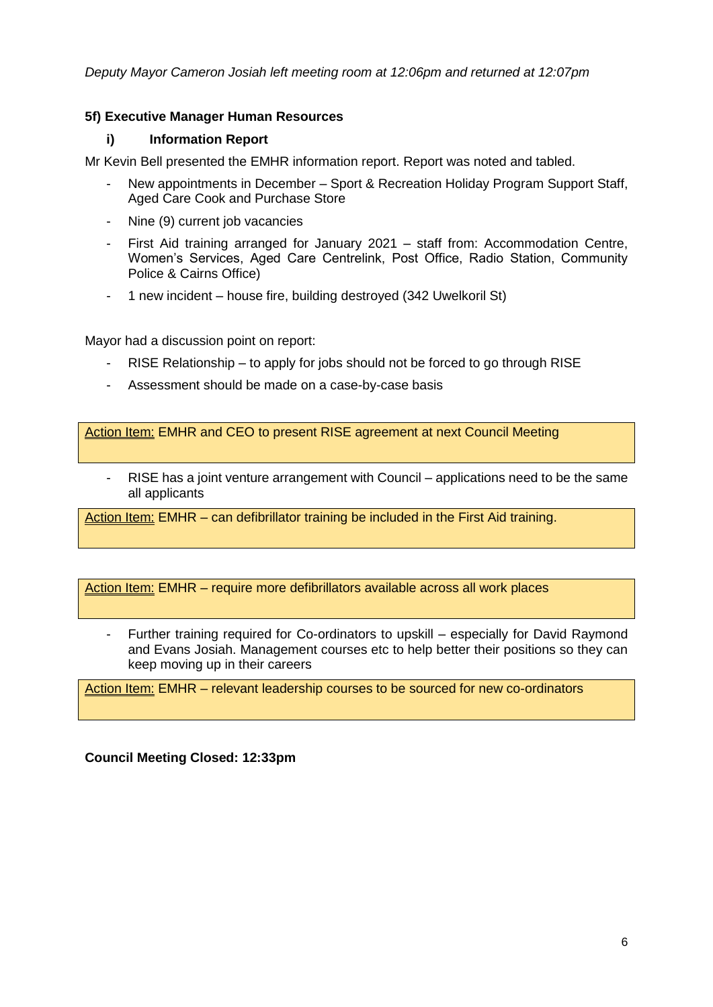*Deputy Mayor Cameron Josiah left meeting room at 12:06pm and returned at 12:07pm*

## **5f) Executive Manager Human Resources**

#### **i) Information Report**

Mr Kevin Bell presented the EMHR information report. Report was noted and tabled.

- New appointments in December Sport & Recreation Holiday Program Support Staff, Aged Care Cook and Purchase Store
- Nine (9) current job vacancies
- First Aid training arranged for January 2021 staff from: Accommodation Centre, Women's Services, Aged Care Centrelink, Post Office, Radio Station, Community Police & Cairns Office)
- 1 new incident house fire, building destroyed (342 Uwelkoril St)

Mayor had a discussion point on report:

- RISE Relationship to apply for jobs should not be forced to go through RISE
- Assessment should be made on a case-by-case basis

Action Item: EMHR and CEO to present RISE agreement at next Council Meeting

- RISE has a joint venture arrangement with Council – applications need to be the same all applicants

Action Item: EMHR – can defibrillator training be included in the First Aid training.

Action Item: EMHR – require more defibrillators available across all work places

Further training required for Co-ordinators to upskill – especially for David Raymond and Evans Josiah. Management courses etc to help better their positions so they can keep moving up in their careers

Action Item: EMHR – relevant leadership courses to be sourced for new co-ordinators

**Council Meeting Closed: 12:33pm**